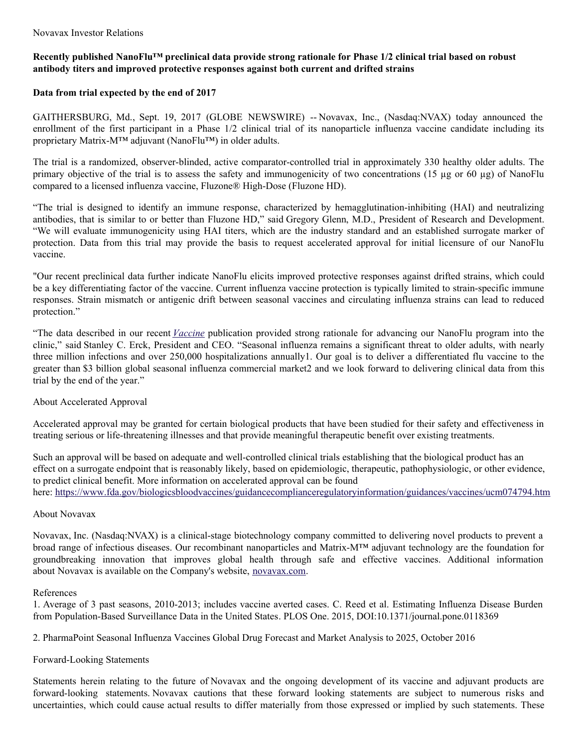# Recently published NanoFlu<sup>TM</sup> preclinical data provide strong rationale for Phase 1/2 clinical trial based on robust **antibody titers and improved protective responses against both current and drifted strains**

## **Data from trial expected by the end of 2017**

GAITHERSBURG, Md., Sept. 19, 2017 (GLOBE NEWSWIRE) -- Novavax, Inc., (Nasdaq:NVAX) today announced the enrollment of the first participant in a Phase 1/2 clinical trial of its nanoparticle influenza vaccine candidate including its proprietary Matrix-M™ adjuvant (NanoFlu™) in older adults.

The trial is a randomized, observer-blinded, active comparator-controlled trial in approximately 330 healthy older adults. The primary objective of the trial is to assess the safety and immunogenicity of two concentrations (15 µg or 60 µg) of NanoFlu compared to a licensed influenza vaccine, Fluzone® High-Dose (Fluzone HD).

"The trial is designed to identify an immune response, characterized by hemagglutination-inhibiting (HAI) and neutralizing antibodies, that is similar to or better than Fluzone HD," said Gregory Glenn, M.D., President of Research and Development. "We will evaluate immunogenicity using HAI titers, which are the industry standard and an established surrogate marker of protection. Data from this trial may provide the basis to request accelerated approval for initial licensure of our NanoFlu vaccine.

"Our recent preclinical data further indicate NanoFlu elicits improved protective responses against drifted strains, which could be a key differentiating factor of the vaccine. Current influenza vaccine protection is typically limited to strain-specific immune responses. Strain mismatch or antigenic drift between seasonal vaccines and circulating influenza strains can lead to reduced protection."

"The data described in our recent *[Vaccine](https://www.globenewswire.com/Tracker?data=CoJwAm_hrqthJ-GeSX6cSuzR2ufFs7X2jDPVaQ_Z9lpBrCU64PAW7QepS9MFX8xVEC9Dr-swf3qWkWfmpSHnEUEb7OJO74OpZpKZYD3QLrTj9c_QxmdkfL_s8VWceoxm)* publication provided strong rationale for advancing our NanoFlu program into the clinic," said Stanley C. Erck, President and CEO. "Seasonal influenza remains a significant threat to older adults, with nearly three million infections and over 250,000 hospitalizations annually1. Our goal is to deliver a differentiated flu vaccine to the greater than \$3 billion global seasonal influenza commercial market2 and we look forward to delivering clinical data from this trial by the end of the year."

## About Accelerated Approval

Accelerated approval may be granted for certain biological products that have been studied for their safety and effectiveness in treating serious or life-threatening illnesses and that provide meaningful therapeutic benefit over existing treatments.

Such an approval will be based on adequate and well-controlled clinical trials establishing that the biological product has an effect on a surrogate endpoint that is reasonably likely, based on epidemiologic, therapeutic, pathophysiologic, or other evidence, to predict clinical benefit. More information on accelerated approval can be found

here: [https://www.fda.gov/biologicsbloodvaccines/guidancecomplianceregulatoryinformation/guidances/vaccines/ucm074794.htm](https://www.globenewswire.com/Tracker?data=_lGt618WQEMU7GktRSBcUkcltLkkbWNOVU7NcfDUcb-vtNjCY7GEyKV0Ww3bqF1V_fnLr5vK7exyJ8hBNsqCWqdWcySphXKwtUb6HZbG7lJXgtVW-LwbrGD14dEzddqcf6Occ3F1LOsk6cTztbNoHuf-ZCBoMerAWsMfZLePgMRal02B14n3dHf2GiNoqLNMP631o0viUu0W5OK8PBO_HFSltJjCJ717q6e2RW4JWTRRvPvB7HaZ5mHqh8fZL0BcsGPuBRCyuw_fObhl-xYS5t65zGauYboPjhOxQYDM3oHo1YcPGQR3GujOxOP_sBdb8WT8DkMNLbO1cKwkqCJ_9w==)

## About Novavax

Novavax, Inc. (Nasdaq:NVAX) is a clinical-stage biotechnology company committed to delivering novel products to prevent a broad range of infectious diseases. Our recombinant nanoparticles and Matrix-M™ adjuvant technology are the foundation for groundbreaking innovation that improves global health through safe and effective vaccines. Additional information about Novavax is available on the Company's website, [novavax.com](https://www.globenewswire.com/Tracker?data=Ud-haiJgHrXJnTMPXZSvDmTKxBUwZJPwaOL1weRIkEj5Qxj-wyBI0Nekj98lrTMjZ1spjJKmVNsC6t_kBI4XPQ==).

## References

1. Average of 3 past seasons, 2010-2013; includes vaccine averted cases. C. Reed et al. Estimating Influenza Disease Burden from Population-Based Surveillance Data in the United States. PLOS One. 2015, DOI:10.1371/journal.pone.0118369

2. PharmaPoint Seasonal Influenza Vaccines Global Drug Forecast and Market Analysis to 2025, October 2016

## Forward-Looking Statements

Statements herein relating to the future of Novavax and the ongoing development of its vaccine and adjuvant products are forward-looking statements. Novavax cautions that these forward looking statements are subject to numerous risks and uncertainties, which could cause actual results to differ materially from those expressed or implied by such statements. These